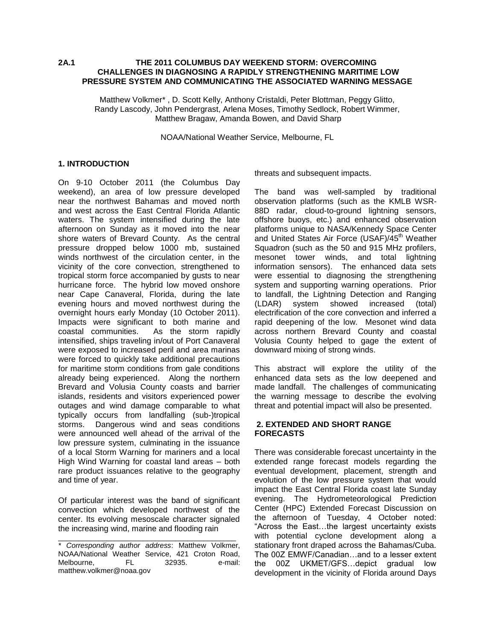#### **2A.1 THE 2011 COLUMBUS DAY WEEKEND STORM: OVERCOMING CHALLENGES IN DIAGNOSING A RAPIDLY STRENGTHENING MARITIME LOW PRESSURE SYSTEM AND COMMUNICATING THE ASSOCIATED WARNING MESSAGE**

Matthew Volkmer\* , D. Scott Kelly, Anthony Cristaldi, Peter Blottman, Peggy Glitto, Randy Lascody, John Pendergrast, Arlena Moses, Timothy Sedlock, Robert Wimmer, Matthew Bragaw, Amanda Bowen, and David Sharp

NOAA/National Weather Service, Melbourne, FL

# **1. INTRODUCTION**

On 9-10 October 2011 (the Columbus Day weekend), an area of low pressure developed near the northwest Bahamas and moved north and west across the East Central Florida Atlantic waters. The system intensified during the late afternoon on Sunday as it moved into the near shore waters of Brevard County. As the central pressure dropped below 1000 mb, sustained winds northwest of the circulation center, in the vicinity of the core convection, strengthened to tropical storm force accompanied by gusts to near hurricane force. The hybrid low moved onshore near Cape Canaveral, Florida, during the late evening hours and moved northwest during the overnight hours early Monday (10 October 2011). Impacts were significant to both marine and coastal communities. As the storm rapidly intensified, ships traveling in/out of Port Canaveral were exposed to increased peril and area marinas were forced to quickly take additional precautions for maritime storm conditions from gale conditions already being experienced. Along the northern Brevard and Volusia County coasts and barrier islands, residents and visitors experienced power outages and wind damage comparable to what typically occurs from landfalling (sub-)tropical storms. Dangerous wind and seas conditions were announced well ahead of the arrival of the low pressure system, culminating in the issuance of a local Storm Warning for mariners and a local High Wind Warning for coastal land areas – both rare product issuances relative to the geography and time of year.

Of particular interest was the band of significant convection which developed northwest of the center. Its evolving mesoscale character signaled the increasing wind, marine and flooding rain

threats and subsequent impacts.

The band was well-sampled by traditional observation platforms (such as the KMLB WSR-88D radar, cloud-to-ground lightning sensors, offshore buoys, etc.) and enhanced observation platforms unique to NASA/Kennedy Space Center and United States Air Force (USAF)/45<sup>th</sup> Weather Squadron (such as the 50 and 915 MHz profilers, mesonet tower winds, and total lightning information sensors). The enhanced data sets were essential to diagnosing the strengthening system and supporting warning operations. Prior to landfall, the Lightning Detection and Ranging (LDAR) system showed increased (total) electrification of the core convection and inferred a rapid deepening of the low. Mesonet wind data across northern Brevard County and coastal Volusia County helped to gage the extent of downward mixing of strong winds.

This abstract will explore the utility of the enhanced data sets as the low deepened and made landfall. The challenges of communicating the warning message to describe the evolving threat and potential impact will also be presented.

#### **2. EXTENDED AND SHORT RANGE FORECASTS**

There was considerable forecast uncertainty in the extended range forecast models regarding the eventual development, placement, strength and evolution of the low pressure system that would impact the East Central Florida coast late Sunday evening. The Hydrometeorological Prediction Center (HPC) Extended Forecast Discussion on the afternoon of Tuesday, 4 October noted: "Across the East…the largest uncertainty exists with potential cyclone development along a stationary front draped across the Bahamas/Cuba. The 00Z EMWF/Canadian…and to a lesser extent the 00Z UKMET/GFS…depict gradual low development in the vicinity of Florida around Days

\_\_\_\_\_\_\_\_\_\_\_\_\_\_\_\_\_\_\_\_\_\_\_\_\_\_\_\_\_\_\_\_\_\_\_\_\_\_\_\_\_\_\_\_ *\* Corresponding author address*: Matthew Volkmer, NOAA/National Weather Service, 421 Croton Road, Melbourne, FL 32935. e-mail: matthew.volkmer@noaa.gov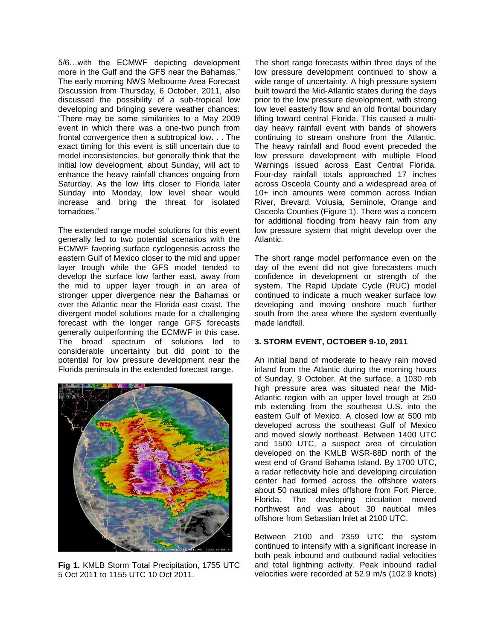5/6…with the ECMWF depicting development more in the Gulf and the GFS near the Bahamas." The early morning NWS Melbourne Area Forecast Discussion from Thursday, 6 October, 2011, also discussed the possibility of a sub-tropical low developing and bringing severe weather chances: "There may be some similarities to a May 2009 event in which there was a one-two punch from frontal convergence then a subtropical low. . . The exact timing for this event is still uncertain due to model inconsistencies, but generally think that the initial low development, about Sunday, will act to enhance the heavy rainfall chances ongoing from Saturday. As the low lifts closer to Florida later Sunday into Monday, low level shear would increase and bring the threat for isolated tornadoes."

The extended range model solutions for this event generally led to two potential scenarios with the ECMWF favoring surface cyclogenesis across the eastern Gulf of Mexico closer to the mid and upper layer trough while the GFS model tended to develop the surface low farther east, away from the mid to upper layer trough in an area of stronger upper divergence near the Bahamas or over the Atlantic near the Florida east coast. The divergent model solutions made for a challenging forecast with the longer range GFS forecasts generally outperforming the ECMWF in this case. The broad spectrum of solutions led to considerable uncertainty but did point to the potential for low pressure development near the Florida peninsula in the extended forecast range.



**Fig 1.** KMLB Storm Total Precipitation, 1755 UTC 5 Oct 2011 to 1155 UTC 10 Oct 2011.

The short range forecasts within three days of the low pressure development continued to show a wide range of uncertainty. A high pressure system built toward the Mid-Atlantic states during the days prior to the low pressure development, with strong low level easterly flow and an old frontal boundary lifting toward central Florida. This caused a multiday heavy rainfall event with bands of showers continuing to stream onshore from the Atlantic. The heavy rainfall and flood event preceded the low pressure development with multiple Flood Warnings issued across East Central Florida. Four-day rainfall totals approached 17 inches across Osceola County and a widespread area of 10+ inch amounts were common across Indian River, Brevard, Volusia, Seminole, Orange and Osceola Counties (Figure 1). There was a concern for additional flooding from heavy rain from any low pressure system that might develop over the Atlantic.

The short range model performance even on the day of the event did not give forecasters much confidence in development or strength of the system. The Rapid Update Cycle (RUC) model continued to indicate a much weaker surface low developing and moving onshore much further south from the area where the system eventually made landfall.

#### **3. STORM EVENT, OCTOBER 9-10, 2011**

An initial band of moderate to heavy rain moved inland from the Atlantic during the morning hours of Sunday, 9 October. At the surface, a 1030 mb high pressure area was situated near the Mid-Atlantic region with an upper level trough at 250 mb extending from the southeast U.S. into the eastern Gulf of Mexico. A closed low at 500 mb developed across the southeast Gulf of Mexico and moved slowly northeast. Between 1400 UTC and 1500 UTC, a suspect area of circulation developed on the KMLB WSR-88D north of the west end of Grand Bahama Island. By 1700 UTC, a radar reflectivity hole and developing circulation center had formed across the offshore waters about 50 nautical miles offshore from Fort Pierce, Florida. The developing circulation moved northwest and was about 30 nautical miles offshore from Sebastian Inlet at 2100 UTC.

Between 2100 and 2359 UTC the system continued to intensify with a significant increase in both peak inbound and outbound radial velocities and total lightning activity. Peak inbound radial velocities were recorded at 52.9 m/s (102.9 knots)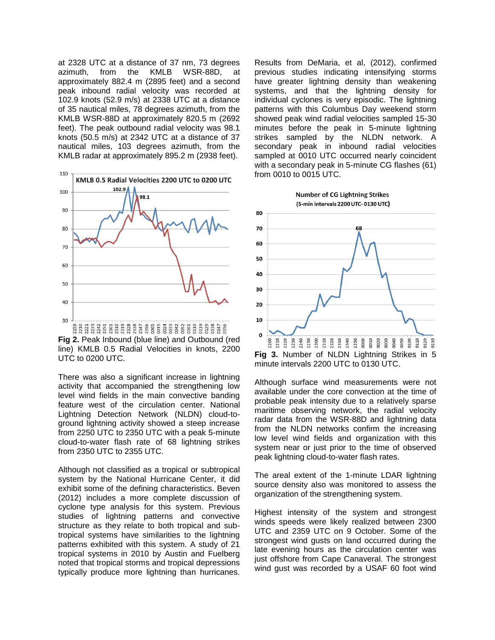at 2328 UTC at a distance of 37 nm, 73 degrees azimuth, from the KMLB WSR-88D, at approximately 882.4 m (2895 feet) and a second peak inbound radial velocity was recorded at 102.9 knots (52.9 m/s) at 2338 UTC at a distance of 35 nautical miles, 78 degrees azimuth, from the KMLB WSR-88D at approximately 820.5 m (2692 feet). The peak outbound radial velocity was 98.1 knots (50.5 m/s) at 2342 UTC at a distance of 37 nautical miles, 103 degrees azimuth, from the KMLB radar at approximately 895.2 m (2938 feet).



**Fig 2.** Peak Inbound (blue line) and Outbound (red line) KMLB 0.5 Radial Velocities in knots, 2200 UTC to 0200 UTC.

There was also a significant increase in lightning activity that accompanied the strengthening low level wind fields in the main convective banding feature west of the circulation center. National Lightning Detection Network (NLDN) cloud-toground lightning activity showed a steep increase from 2250 UTC to 2350 UTC with a peak 5-minute cloud-to-water flash rate of 68 lightning strikes from 2350 UTC to 2355 UTC.

Although not classified as a tropical or subtropical system by the National Hurricane Center, it did exhibit some of the defining characteristics. Beven (2012) includes a more complete discussion of cyclone type analysis for this system. Previous studies of lightning patterns and convective structure as they relate to both tropical and subtropical systems have similarities to the lightning patterns exhibited with this system. A study of 21 tropical systems in 2010 by Austin and Fuelberg noted that tropical storms and tropical depressions typically produce more lightning than hurricanes.

Results from DeMaria, et al, (2012), confirmed previous studies indicating intensifying storms have greater lightning density than weakening systems, and that the lightning density for individual cyclones is very episodic. The lightning patterns with this Columbus Day weekend storm showed peak wind radial velocities sampled 15-30 minutes before the peak in 5-minute lightning strikes sampled by the NLDN network. A secondary peak in inbound radial velocities sampled at 0010 UTC occurred nearly coincident with a secondary peak in 5-minute CG flashes (61) from 0010 to 0015 UTC.



**Fig 3.** Number of NLDN Lightning Strikes in 5 minute intervals 2200 UTC to 0130 UTC.

Although surface wind measurements were not available under the core convection at the time of probable peak intensity due to a relatively sparse maritime observing network, the radial velocity radar data from the WSR-88D and lightning data from the NLDN networks confirm the increasing low level wind fields and organization with this system near or just prior to the time of observed peak lightning cloud-to-water flash rates.

The areal extent of the 1-minute LDAR lightning source density also was monitored to assess the organization of the strengthening system.

Highest intensity of the system and strongest winds speeds were likely realized between 2300 UTC and 2359 UTC on 9 October. Some of the strongest wind gusts on land occurred during the late evening hours as the circulation center was just offshore from Cape Canaveral. The strongest wind gust was recorded by a USAF 60 foot wind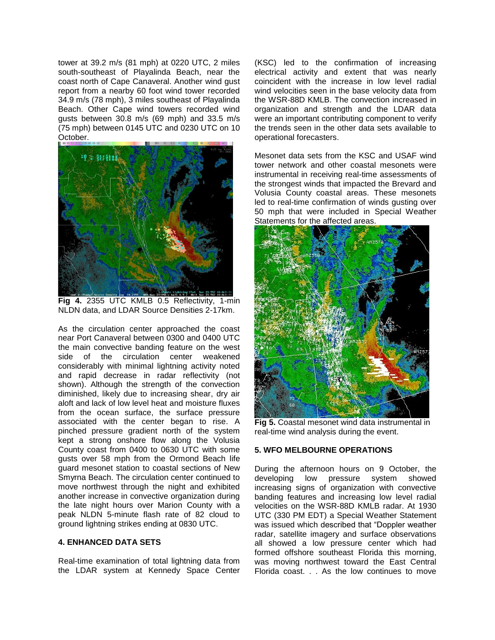tower at 39.2 m/s (81 mph) at 0220 UTC, 2 miles south-southeast of Playalinda Beach, near the coast north of Cape Canaveral. Another wind gust report from a nearby 60 foot wind tower recorded 34.9 m/s (78 mph), 3 miles southeast of Playalinda Beach. Other Cape wind towers recorded wind gusts between 30.8 m/s (69 mph) and 33.5 m/s (75 mph) between 0145 UTC and 0230 UTC on 10 October.



**Fig 4.** 2355 UTC KMLB 0.5 Reflectivity, 1-min NLDN data, and LDAR Source Densities 2-17km.

As the circulation center approached the coast near Port Canaveral between 0300 and 0400 UTC the main convective banding feature on the west side of the circulation center weakened considerably with minimal lightning activity noted and rapid decrease in radar reflectivity (not shown). Although the strength of the convection diminished, likely due to increasing shear, dry air aloft and lack of low level heat and moisture fluxes from the ocean surface, the surface pressure associated with the center began to rise. A pinched pressure gradient north of the system kept a strong onshore flow along the Volusia County coast from 0400 to 0630 UTC with some gusts over 58 mph from the Ormond Beach life guard mesonet station to coastal sections of New Smyrna Beach. The circulation center continued to move northwest through the night and exhibited another increase in convective organization during the late night hours over Marion County with a peak NLDN 5-minute flash rate of 82 cloud to ground lightning strikes ending at 0830 UTC.

### **4. ENHANCED DATA SETS**

Real-time examination of total lightning data from the LDAR system at Kennedy Space Center (KSC) led to the confirmation of increasing electrical activity and extent that was nearly coincident with the increase in low level radial wind velocities seen in the base velocity data from the WSR-88D KMLB. The convection increased in organization and strength and the LDAR data were an important contributing component to verify the trends seen in the other data sets available to operational forecasters.

Mesonet data sets from the KSC and USAF wind tower network and other coastal mesonets were instrumental in receiving real-time assessments of the strongest winds that impacted the Brevard and Volusia County coastal areas. These mesonets led to real-time confirmation of winds gusting over 50 mph that were included in Special Weather Statements for the affected areas.



**Fig 5.** Coastal mesonet wind data instrumental in real-time wind analysis during the event.

#### **5. WFO MELBOURNE OPERATIONS**

During the afternoon hours on 9 October, the developing low pressure system showed increasing signs of organization with convective banding features and increasing low level radial velocities on the WSR-88D KMLB radar. At 1930 UTC (330 PM EDT) a Special Weather Statement was issued which described that "Doppler weather radar, satellite imagery and surface observations all showed a low pressure center which had formed offshore southeast Florida this morning, was moving northwest toward the East Central Florida coast. . . As the low continues to move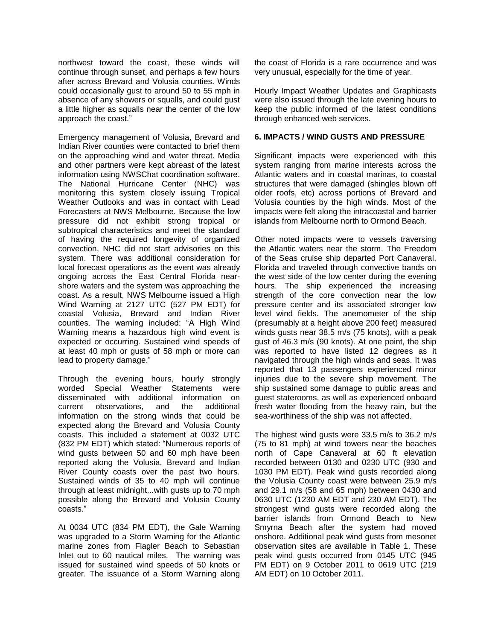northwest toward the coast, these winds will continue through sunset, and perhaps a few hours after across Brevard and Volusia counties. Winds could occasionally gust to around 50 to 55 mph in absence of any showers or squalls, and could gust a little higher as squalls near the center of the low approach the coast."

Emergency management of Volusia, Brevard and Indian River counties were contacted to brief them on the approaching wind and water threat. Media and other partners were kept abreast of the latest information using NWSChat coordination software. The National Hurricane Center (NHC) was monitoring this system closely issuing Tropical Weather Outlooks and was in contact with Lead Forecasters at NWS Melbourne. Because the low pressure did not exhibit strong tropical or subtropical characteristics and meet the standard of having the required longevity of organized convection, NHC did not start advisories on this system. There was additional consideration for local forecast operations as the event was already ongoing across the East Central Florida nearshore waters and the system was approaching the coast. As a result, NWS Melbourne issued a High Wind Warning at 2127 UTC (527 PM EDT) for coastal Volusia, Brevard and Indian River counties. The warning included: "A High Wind Warning means a hazardous high wind event is expected or occurring. Sustained wind speeds of at least 40 mph or gusts of 58 mph or more can lead to property damage."

Through the evening hours, hourly strongly worded Special Weather Statements were disseminated with additional information on current observations, and the additional information on the strong winds that could be expected along the Brevard and Volusia County coasts. This included a statement at 0032 UTC (832 PM EDT) which stated: "Numerous reports of wind gusts between 50 and 60 mph have been reported along the Volusia, Brevard and Indian River County coasts over the past two hours. Sustained winds of 35 to 40 mph will continue through at least midnight...with gusts up to 70 mph possible along the Brevard and Volusia County coasts."

At 0034 UTC (834 PM EDT), the Gale Warning was upgraded to a Storm Warning for the Atlantic marine zones from Flagler Beach to Sebastian Inlet out to 60 nautical miles. The warning was issued for sustained wind speeds of 50 knots or greater. The issuance of a Storm Warning along the coast of Florida is a rare occurrence and was very unusual, especially for the time of year.

Hourly Impact Weather Updates and Graphicasts were also issued through the late evening hours to keep the public informed of the latest conditions through enhanced web services.

#### **6. IMPACTS / WIND GUSTS AND PRESSURE**

Significant impacts were experienced with this system ranging from marine interests across the Atlantic waters and in coastal marinas, to coastal structures that were damaged (shingles blown off older roofs, etc) across portions of Brevard and Volusia counties by the high winds. Most of the impacts were felt along the intracoastal and barrier islands from Melbourne north to Ormond Beach.

Other noted impacts were to vessels traversing the Atlantic waters near the storm. The Freedom of the Seas cruise ship departed Port Canaveral, Florida and traveled through convective bands on the west side of the low center during the evening hours. The ship experienced the increasing strength of the core convection near the low pressure center and its associated stronger low level wind fields. The anemometer of the ship (presumably at a height above 200 feet) measured winds gusts near 38.5 m/s (75 knots), with a peak gust of 46.3 m/s (90 knots). At one point, the ship was reported to have listed 12 degrees as it navigated through the high winds and seas. It was reported that 13 passengers experienced minor injuries due to the severe ship movement. The ship sustained some damage to public areas and guest staterooms, as well as experienced onboard fresh water flooding from the heavy rain, but the sea-worthiness of the ship was not affected.

The highest wind gusts were 33.5 m/s to 36.2 m/s (75 to 81 mph) at wind towers near the beaches north of Cape Canaveral at 60 ft elevation recorded between 0130 and 0230 UTC (930 and 1030 PM EDT). Peak wind gusts recorded along the Volusia County coast were between 25.9 m/s and 29.1 m/s (58 and 65 mph) between 0430 and 0630 UTC (1230 AM EDT and 230 AM EDT). The strongest wind gusts were recorded along the barrier islands from Ormond Beach to New Smyrna Beach after the system had moved onshore. Additional peak wind gusts from mesonet observation sites are available in Table 1. These peak wind gusts occurred from 0145 UTC (945 PM EDT) on 9 October 2011 to 0619 UTC (219 AM EDT) on 10 October 2011.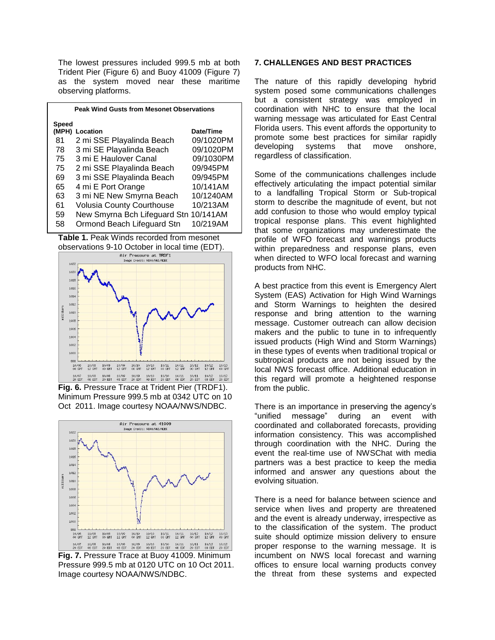The lowest pressures included 999.5 mb at both Trident Pier (Figure 6) and Buoy 41009 (Figure 7) as the system moved near these maritime observing platforms.

| <b>Peak Wind Gusts from Mesonet Observations</b> |                                       |           |
|--------------------------------------------------|---------------------------------------|-----------|
| <b>Speed</b>                                     |                                       |           |
| (MPH)                                            | Location                              | Date/Time |
| 81                                               | 2 mi SSE Playalinda Beach             | 09/1020PM |
| 78                                               | 3 mi SE Playalinda Beach              | 09/1020PM |
| 75                                               | 3 mi E Haulover Canal                 | 09/1030PM |
| 75                                               | 2 mi SSE Playalinda Beach             | 09/945PM  |
| 69                                               | 3 mi SSE Playalinda Beach             | 09/945PM  |
| 65                                               | 4 mi E Port Orange                    | 10/141AM  |
| 63                                               | 3 mi NE New Smyrna Beach              | 10/1240AM |
| 61                                               | <b>Volusia County Courthouse</b>      | 10/213AM  |
| 59                                               | New Smyrna Bch Lifeguard Stn 10/141AM |           |
| 58                                               | Ormond Beach Lifeguard Stn            | 10/219AM  |





**Fig. 6.** Pressure Trace at Trident Pier (TRDF1). Minimum Pressure 999.5 mb at 0342 UTC on 10 Oct 2011. Image courtesy NOAA/NWS/NDBC.



**Fig. 7.** Pressure Trace at Buoy 41009. Minimum Pressure 999.5 mb at 0120 UTC on 10 Oct 2011. Image courtesy NOAA/NWS/NDBC.

### **7. CHALLENGES AND BEST PRACTICES**

The nature of this rapidly developing hybrid system posed some communications challenges but a consistent strategy was employed in coordination with NHC to ensure that the local warning message was articulated for East Central Florida users. This event affords the opportunity to promote some best practices for similar rapidly<br>developing systems that move onshore. developing systems that move regardless of classification.

Some of the communications challenges include effectively articulating the impact potential similar to a landfalling Tropical Storm or Sub-tropical storm to describe the magnitude of event, but not add confusion to those who would employ typical tropical response plans. This event highlighted that some organizations may underestimate the profile of WFO forecast and warnings products within preparedness and response plans, even when directed to WFO local forecast and warning products from NHC.

A best practice from this event is Emergency Alert System (EAS) Activation for High Wind Warnings and Storm Warnings to heighten the desired response and bring attention to the warning message. Customer outreach can allow decision makers and the public to tune in to infrequently issued products (High Wind and Storm Warnings) in these types of events when traditional tropical or subtropical products are not being issued by the local NWS forecast office. Additional education in this regard will promote a heightened response from the public.

There is an importance in preserving the agency's "unified message" during an event with coordinated and collaborated forecasts, providing information consistency. This was accomplished through coordination with the NHC. During the event the real-time use of NWSChat with media partners was a best practice to keep the media informed and answer any questions about the evolving situation.

There is a need for balance between science and service when lives and property are threatened and the event is already underway, irrespective as to the classification of the system. The product suite should optimize mission delivery to ensure proper response to the warning message. It is incumbent on NWS local forecast and warning offices to ensure local warning products convey the threat from these systems and expected